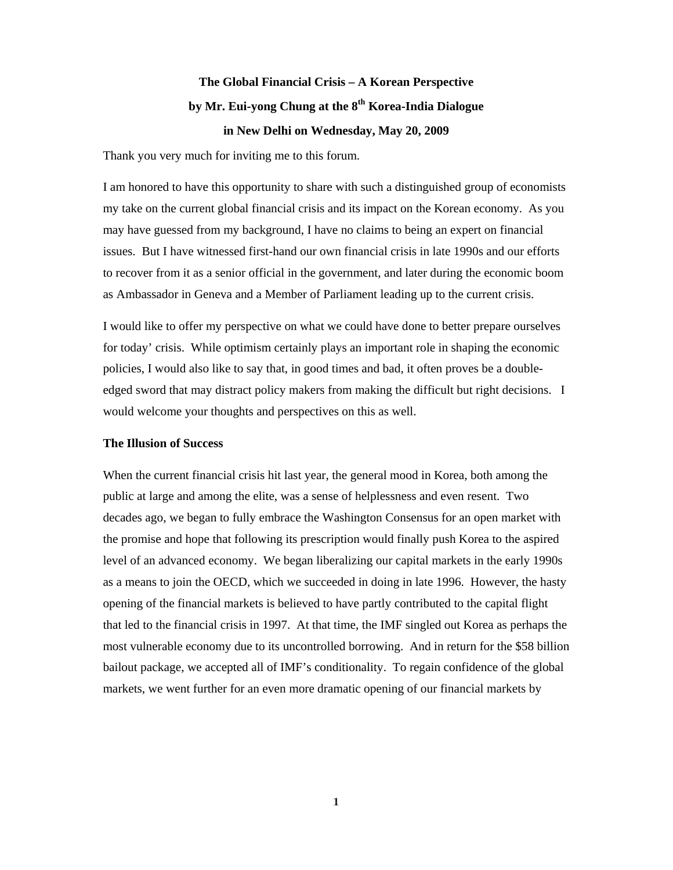## **The Global Financial Crisis – A Korean Perspective by Mr. Eui-yong Chung at the 8th Korea-India Dialogue in New Delhi on Wednesday, May 20, 2009**

Thank you very much for inviting me to this forum.

I am honored to have this opportunity to share with such a distinguished group of economists my take on the current global financial crisis and its impact on the Korean economy. As you may have guessed from my background, I have no claims to being an expert on financial issues. But I have witnessed first-hand our own financial crisis in late 1990s and our efforts to recover from it as a senior official in the government, and later during the economic boom as Ambassador in Geneva and a Member of Parliament leading up to the current crisis.

I would like to offer my perspective on what we could have done to better prepare ourselves for today' crisis. While optimism certainly plays an important role in shaping the economic policies, I would also like to say that, in good times and bad, it often proves be a doubleedged sword that may distract policy makers from making the difficult but right decisions. I would welcome your thoughts and perspectives on this as well.

## **The Illusion of Success**

When the current financial crisis hit last year, the general mood in Korea, both among the public at large and among the elite, was a sense of helplessness and even resent. Two decades ago, we began to fully embrace the Washington Consensus for an open market with the promise and hope that following its prescription would finally push Korea to the aspired level of an advanced economy. We began liberalizing our capital markets in the early 1990s as a means to join the OECD, which we succeeded in doing in late 1996. However, the hasty opening of the financial markets is believed to have partly contributed to the capital flight that led to the financial crisis in 1997. At that time, the IMF singled out Korea as perhaps the most vulnerable economy due to its uncontrolled borrowing. And in return for the \$58 billion bailout package, we accepted all of IMF's conditionality. To regain confidence of the global markets, we went further for an even more dramatic opening of our financial markets by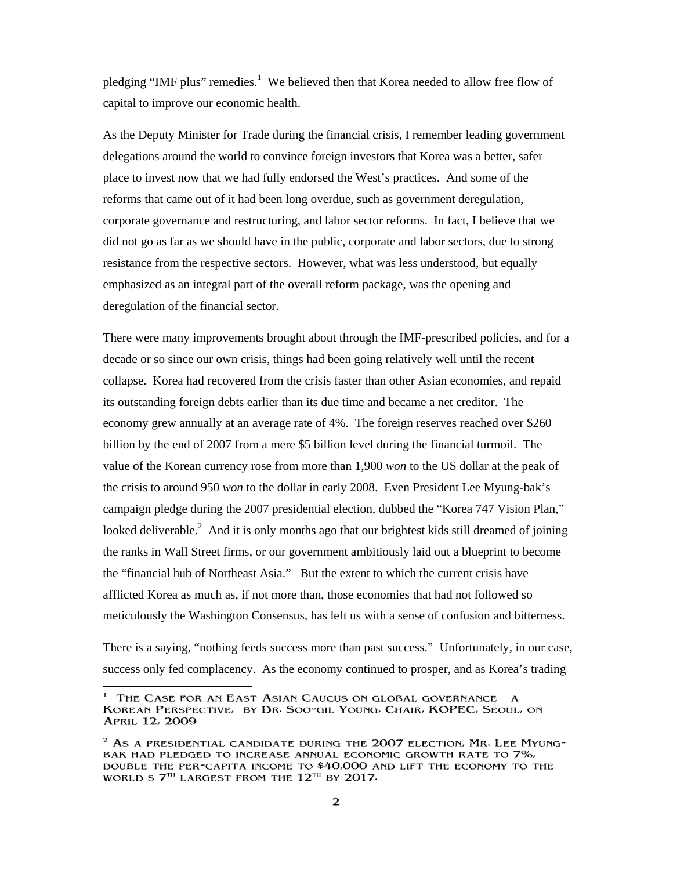pledging "IMF plus" remedies.<sup>1</sup> We believed then that Korea needed to allow free flow of capital to improve our economic health.

As the Deputy Minister for Trade during the financial crisis, I remember leading government delegations around the world to convince foreign investors that Korea was a better, safer place to invest now that we had fully endorsed the West's practices. And some of the reforms that came out of it had been long overdue, such as government deregulation, corporate governance and restructuring, and labor sector reforms. In fact, I believe that we did not go as far as we should have in the public, corporate and labor sectors, due to strong resistance from the respective sectors. However, what was less understood, but equally emphasized as an integral part of the overall reform package, was the opening and deregulation of the financial sector.

There were many improvements brought about through the IMF-prescribed policies, and for a decade or so since our own crisis, things had been going relatively well until the recent collapse. Korea had recovered from the crisis faster than other Asian economies, and repaid its outstanding foreign debts earlier than its due time and became a net creditor. The economy grew annually at an average rate of 4%. The foreign reserves reached over \$260 billion by the end of 2007 from a mere \$5 billion level during the financial turmoil. The value of the Korean currency rose from more than 1,900 *won* to the US dollar at the peak of the crisis to around 950 *won* to the dollar in early 2008. Even President Lee Myung-bak's campaign pledge during the 2007 presidential election, dubbed the "Korea 747 Vision Plan," looked deliverable.<sup>2</sup> And it is only months ago that our brightest kids still dreamed of joining the ranks in Wall Street firms, or our government ambitiously laid out a blueprint to become the "financial hub of Northeast Asia." But the extent to which the current crisis have afflicted Korea as much as, if not more than, those economies that had not followed so meticulously the Washington Consensus, has left us with a sense of confusion and bitterness.

There is a saying, "nothing feeds success more than past success." Unfortunately, in our case, success only fed complacency. As the economy continued to prosper, and as Korea's trading

 $\overline{\phantom{a}}$ 1 The Case for an East Asian Caucus on global governance a Korean Perspective, by Dr. Soo-gil Young, Chair, KOPEC, Seoul, on April 12, 2009

 $2$  As a presidential candidate during the 2007 election, Mr. Lee Myungbak had pledged to increase annual economic growth rate to 7%, double the per-capita income to \$40,000 and lift the economy to the WORLD S  $7<sup>th</sup>$  LARGEST FROM THE  $12<sup>th</sup>$  BY 2017.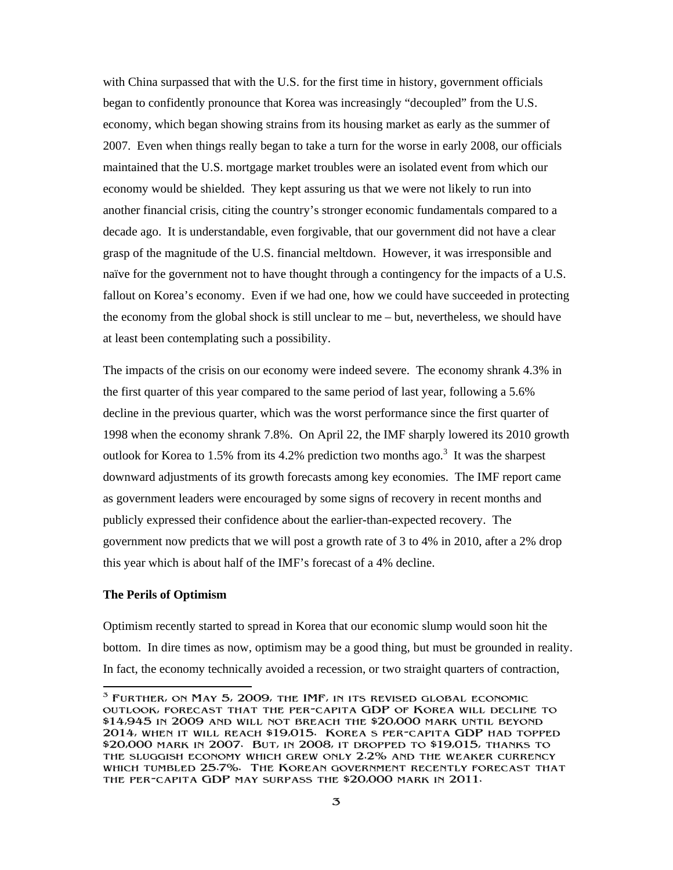with China surpassed that with the U.S. for the first time in history, government officials began to confidently pronounce that Korea was increasingly "decoupled" from the U.S. economy, which began showing strains from its housing market as early as the summer of 2007. Even when things really began to take a turn for the worse in early 2008, our officials maintained that the U.S. mortgage market troubles were an isolated event from which our economy would be shielded. They kept assuring us that we were not likely to run into another financial crisis, citing the country's stronger economic fundamentals compared to a decade ago. It is understandable, even forgivable, that our government did not have a clear grasp of the magnitude of the U.S. financial meltdown. However, it was irresponsible and naïve for the government not to have thought through a contingency for the impacts of a U.S. fallout on Korea's economy. Even if we had one, how we could have succeeded in protecting the economy from the global shock is still unclear to me – but, nevertheless, we should have at least been contemplating such a possibility.

The impacts of the crisis on our economy were indeed severe. The economy shrank 4.3% in the first quarter of this year compared to the same period of last year, following a 5.6% decline in the previous quarter, which was the worst performance since the first quarter of 1998 when the economy shrank 7.8%. On April 22, the IMF sharply lowered its 2010 growth outlook for Korea to 1.5% from its 4.2% prediction two months ago.<sup>3</sup> It was the sharpest downward adjustments of its growth forecasts among key economies. The IMF report came as government leaders were encouraged by some signs of recovery in recent months and publicly expressed their confidence about the earlier-than-expected recovery. The government now predicts that we will post a growth rate of 3 to 4% in 2010, after a 2% drop this year which is about half of the IMF's forecast of a 4% decline.

## **The Perils of Optimism**

Optimism recently started to spread in Korea that our economic slump would soon hit the bottom. In dire times as now, optimism may be a good thing, but must be grounded in reality. In fact, the economy technically avoided a recession, or two straight quarters of contraction,

 $\overline{a}$  $3$  Further, on May 5, 2009, the IMF, in its revised global economic outlook, forecast that the per-capita GDP of Korea will decline to \$14,945 in 2009 and will not breach the \$20,000 mark until beyond 2014, when it will reach \$19,015. Koreas per-capita GDP had topped \$20,000 mark in 2007. But, in 2008, it dropped to \$19,015, thanks to the sluggish economy which grew only 2.2% and the weaker currency which tumbled 25.7%. The Korean government recently forecast that the per-capita GDP may surpass the \$20,000 mark in 2011.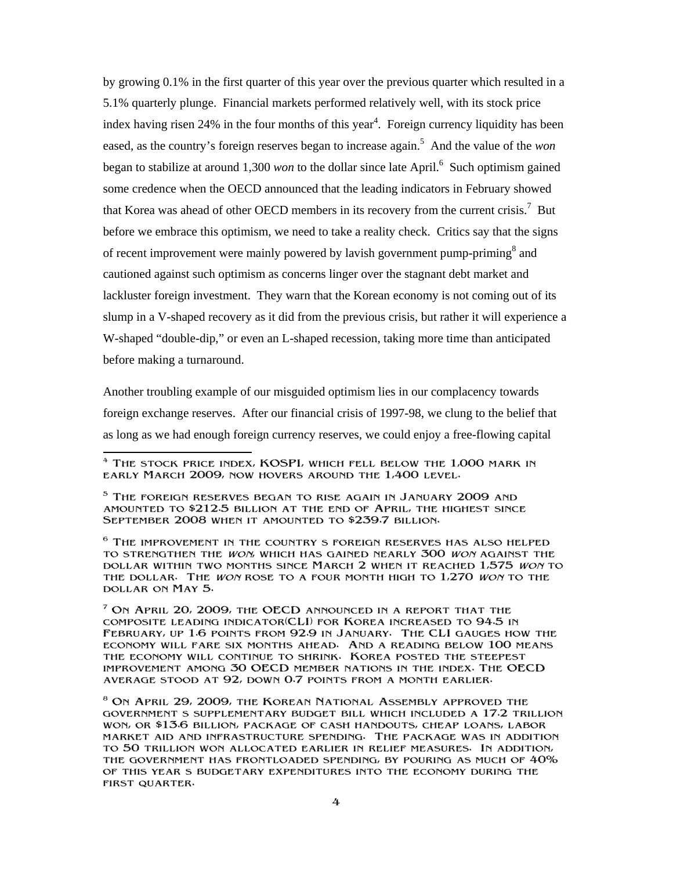by growing 0.1% in the first quarter of this year over the previous quarter which resulted in a 5.1% quarterly plunge. Financial markets performed relatively well, with its stock price index having risen  $24\%$  in the four months of this year<sup>4</sup>. Foreign currency liquidity has been eased, as the country's foreign reserves began to increase again.<sup>5</sup> And the value of the *won* began to stabilize at around 1,300 *won* to the dollar since late April.<sup>6</sup> Such optimism gained some credence when the OECD announced that the leading indicators in February showed that Korea was ahead of other OECD members in its recovery from the current crisis.<sup>7</sup> But before we embrace this optimism, we need to take a reality check. Critics say that the signs of recent improvement were mainly powered by lavish government pump-priming<sup>8</sup> and cautioned against such optimism as concerns linger over the stagnant debt market and lackluster foreign investment. They warn that the Korean economy is not coming out of its slump in a V-shaped recovery as it did from the previous crisis, but rather it will experience a W-shaped "double-dip," or even an L-shaped recession, taking more time than anticipated before making a turnaround.

Another troubling example of our misguided optimism lies in our complacency towards foreign exchange reserves. After our financial crisis of 1997-98, we clung to the belief that as long as we had enough foreign currency reserves, we could enjoy a free-flowing capital

 $6$  The improvement in the country s foreign reserves has also helped to strengthen the won, which has gained nearly 300 won against the dollar within two months since March 2 when it reached 1,575 won to THE DOLLAR. THE WON ROSE TO A FOUR MONTH HIGH TO 1,270 WON TO THE dollar on May 5.

<sup>7</sup> On April 20, 2009, the OECD announced in a report that the composite leading indicator(CLI) for Korea increased to 94.5 in February, up 1.6 points from 92.9 in January. The CLI gauges how the economy will fare six months ahead. And a reading below 100 means the economy will continue to shrink. Korea posted the steepest improvement among 30 OECD member nations in the index. The OECD average stood at 92, down 0.7 points from a month earlier.

 $\frac{1}{2}$ <sup>4</sup> The stock price index, KOSPI, which fell below the 1,000 mark in early March 2009, now hovers around the 1,400 level.

<sup>5</sup> The foreign reserves began to rise again in January 2009 and amounted to \$212.5 billion at the end of April, the highest since September 2008 when it amounted to \$239.7 billion.

<sup>8</sup> On April 29, 2009, the Korean National Assembly approved the governments supplementary budget bill which included a 17.2 trillion won, or \$13.6 billion, package of cash handouts, cheap loans, labor market aid and infrastructure spending. The package was in addition to 50 trillion won allocated earlier in relief measures. In addition, the government has frontloaded spending, by pouring as much of 40% of this years budgetary expenditures into the economy during the first quarter.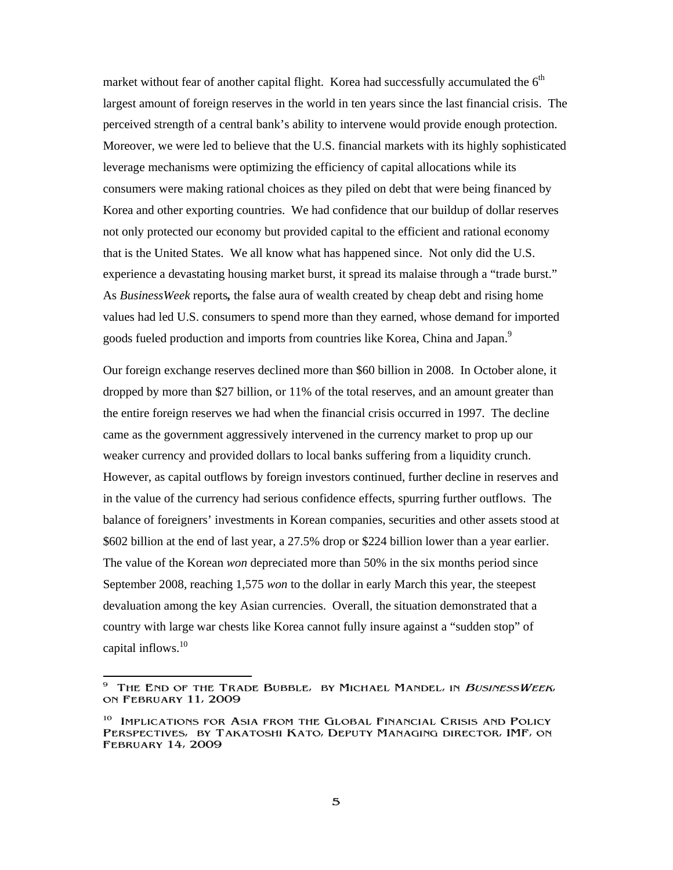market without fear of another capital flight. Korea had successfully accumulated the  $6<sup>th</sup>$ largest amount of foreign reserves in the world in ten years since the last financial crisis. The perceived strength of a central bank's ability to intervene would provide enough protection. Moreover, we were led to believe that the U.S. financial markets with its highly sophisticated leverage mechanisms were optimizing the efficiency of capital allocations while its consumers were making rational choices as they piled on debt that were being financed by Korea and other exporting countries. We had confidence that our buildup of dollar reserves not only protected our economy but provided capital to the efficient and rational economy that is the United States. We all know what has happened since. Not only did the U.S. experience a devastating housing market burst, it spread its malaise through a "trade burst." As *BusinessWeek* reports*,* the false aura of wealth created by cheap debt and rising home values had led U.S. consumers to spend more than they earned, whose demand for imported goods fueled production and imports from countries like Korea, China and Japan.<sup>9</sup>

Our foreign exchange reserves declined more than \$60 billion in 2008. In October alone, it dropped by more than \$27 billion, or 11% of the total reserves, and an amount greater than the entire foreign reserves we had when the financial crisis occurred in 1997. The decline came as the government aggressively intervened in the currency market to prop up our weaker currency and provided dollars to local banks suffering from a liquidity crunch. However, as capital outflows by foreign investors continued, further decline in reserves and in the value of the currency had serious confidence effects, spurring further outflows. The balance of foreigners' investments in Korean companies, securities and other assets stood at \$602 billion at the end of last year, a 27.5% drop or \$224 billion lower than a year earlier. The value of the Korean *won* depreciated more than 50% in the six months period since September 2008, reaching 1,575 *won* to the dollar in early March this year, the steepest devaluation among the key Asian currencies. Overall, the situation demonstrated that a country with large war chests like Korea cannot fully insure against a "sudden stop" of capital inflows. $10$ 

 $\overline{\phantom{a}}$  $9$  The End of the Trade Bubble, by Michael Mandel, in BusinessWeek, on February 11, 2009

<sup>&</sup>lt;sup>10</sup> Implications for Asia from the Global Financial Crisis and Policy PERSPECTIVES, BY TAKATOSHI KATO, DEPUTY MANAGING DIRECTOR, IMF, ON February 14, 2009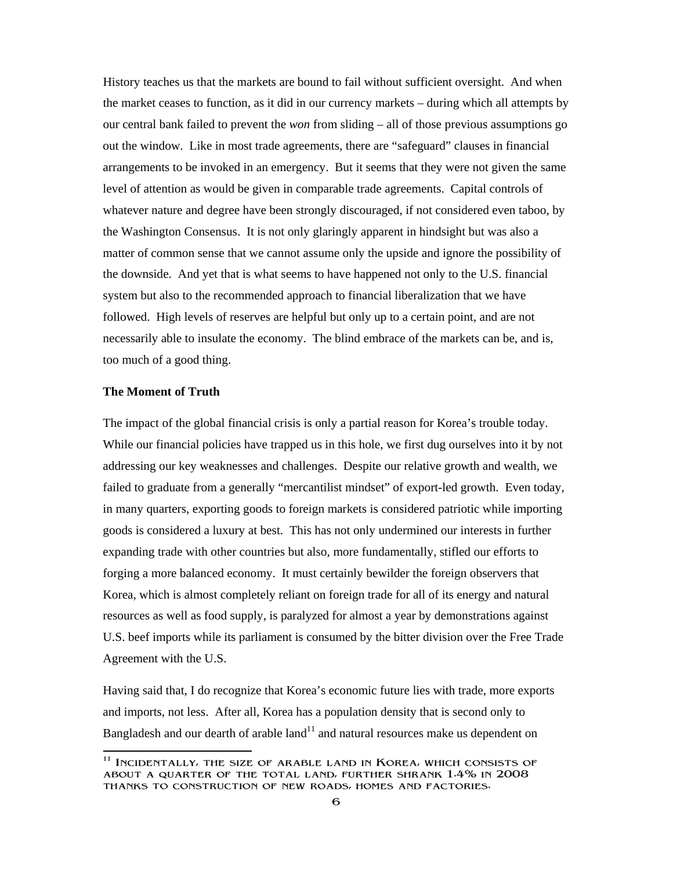History teaches us that the markets are bound to fail without sufficient oversight. And when the market ceases to function, as it did in our currency markets – during which all attempts by our central bank failed to prevent the *won* from sliding – all of those previous assumptions go out the window. Like in most trade agreements, there are "safeguard" clauses in financial arrangements to be invoked in an emergency. But it seems that they were not given the same level of attention as would be given in comparable trade agreements. Capital controls of whatever nature and degree have been strongly discouraged, if not considered even taboo, by the Washington Consensus. It is not only glaringly apparent in hindsight but was also a matter of common sense that we cannot assume only the upside and ignore the possibility of the downside. And yet that is what seems to have happened not only to the U.S. financial system but also to the recommended approach to financial liberalization that we have followed. High levels of reserves are helpful but only up to a certain point, and are not necessarily able to insulate the economy. The blind embrace of the markets can be, and is, too much of a good thing.

## **The Moment of Truth**

The impact of the global financial crisis is only a partial reason for Korea's trouble today. While our financial policies have trapped us in this hole, we first dug ourselves into it by not addressing our key weaknesses and challenges. Despite our relative growth and wealth, we failed to graduate from a generally "mercantilist mindset" of export-led growth. Even today, in many quarters, exporting goods to foreign markets is considered patriotic while importing goods is considered a luxury at best. This has not only undermined our interests in further expanding trade with other countries but also, more fundamentally, stifled our efforts to forging a more balanced economy. It must certainly bewilder the foreign observers that Korea, which is almost completely reliant on foreign trade for all of its energy and natural resources as well as food supply, is paralyzed for almost a year by demonstrations against U.S. beef imports while its parliament is consumed by the bitter division over the Free Trade Agreement with the U.S.

Having said that, I do recognize that Korea's economic future lies with trade, more exports and imports, not less. After all, Korea has a population density that is second only to Bangladesh and our dearth of arable  $land<sup>11</sup>$  and natural resources make us dependent on

 $\overline{1}$  $11$  Incidentally, the size of arable land in Korea, which consists of about a quarter of the total land, further shrank 1.4% in 2008 thanks to construction of new roads, homes and factories.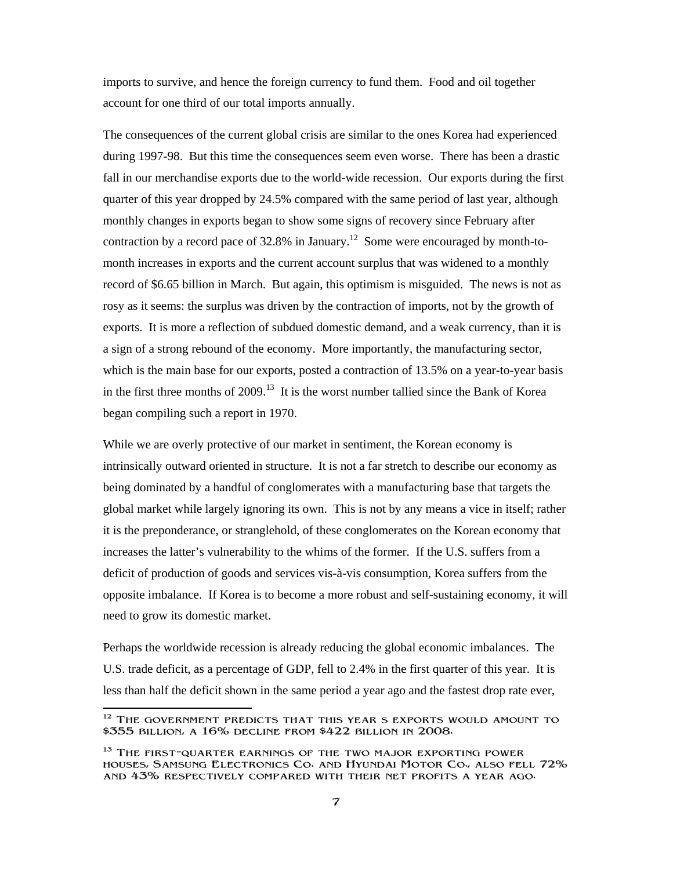imports to survive, and hence the foreign currency to fund them. Food and oil together account for one third of our total imports annually.

The consequences of the current global crisis are similar to the ones Korea had experienced during 1997-98. But this time the consequences seem even worse. There has been a drastic fall in our merchandise exports due to the world-wide recession. Our exports during the first quarter of this year dropped by 24.5% compared with the same period of last year, although monthly changes in exports began to show some signs of recovery since February after contraction by a record pace of 32.8% in January.<sup>12</sup> Some were encouraged by month-tomonth increases in exports and the current account surplus that was widened to a monthly record of \$6.65 billion in March. But again, this optimism is misguided. The news is not as rosy as it seems: the surplus was driven by the contraction of imports, not by the growth of exports. It is more a reflection of subdued domestic demand, and a weak currency, than it is a sign of a strong rebound of the economy. More importantly, the manufacturing sector, which is the main base for our exports, posted a contraction of 13.5% on a year-to-year basis in the first three months of  $2009$ <sup>13</sup> It is the worst number tallied since the Bank of Korea began compiling such a report in 1970.

While we are overly protective of our market in sentiment, the Korean economy is intrinsically outward oriented in structure. It is not a far stretch to describe our economy as being dominated by a handful of conglomerates with a manufacturing base that targets the global market while largely ignoring its own. This is not by any means a vice in itself; rather it is the preponderance, or stranglehold, of these conglomerates on the Korean economy that increases the latter's vulnerability to the whims of the former. If the U.S. suffers from a deficit of production of goods and services vis-à-vis consumption, Korea suffers from the opposite imbalance. If Korea is to become a more robust and self-sustaining economy, it will need to grow its domestic market.

Perhaps the worldwide recession is already reducing the global economic imbalances. The U.S. trade deficit, as a percentage of GDP, fell to 2.4% in the first quarter of this year. It is less than half the deficit shown in the same period a year ago and the fastest drop rate ever,

 $\overline{\phantom{a}}$ <sup>12</sup> THE GOVERNMENT PREDICTS THAT THIS YEAR S EXPORTS WOULD AMOUNT TO \$355 billion, a 16% decline from \$422 billion in 2008.

<sup>&</sup>lt;sup>13</sup> THE FIRST-QUARTER EARNINGS OF THE TWO MAJOR EXPORTING POWER houses, Samsung Electronics Co. and Hyundai Motor Co., also fell 72% and 43% respectively compared with their net profits a year ago.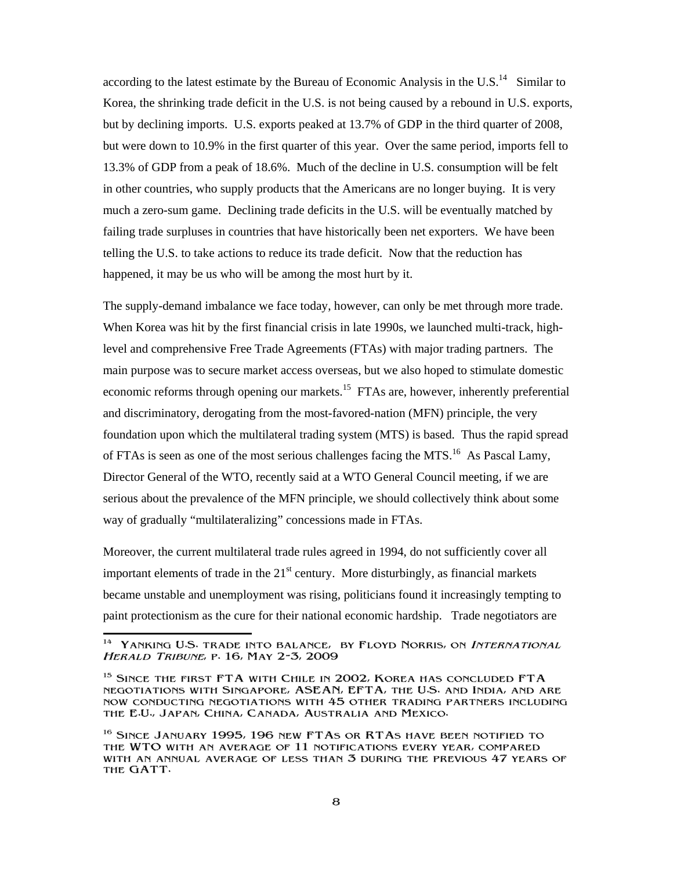according to the latest estimate by the Bureau of Economic Analysis in the U.S. $<sup>14</sup>$  Similar to</sup> Korea, the shrinking trade deficit in the U.S. is not being caused by a rebound in U.S. exports, but by declining imports. U.S. exports peaked at 13.7% of GDP in the third quarter of 2008, but were down to 10.9% in the first quarter of this year. Over the same period, imports fell to 13.3% of GDP from a peak of 18.6%. Much of the decline in U.S. consumption will be felt in other countries, who supply products that the Americans are no longer buying. It is very much a zero-sum game. Declining trade deficits in the U.S. will be eventually matched by failing trade surpluses in countries that have historically been net exporters. We have been telling the U.S. to take actions to reduce its trade deficit. Now that the reduction has happened, it may be us who will be among the most hurt by it.

The supply-demand imbalance we face today, however, can only be met through more trade. When Korea was hit by the first financial crisis in late 1990s, we launched multi-track, highlevel and comprehensive Free Trade Agreements (FTAs) with major trading partners. The main purpose was to secure market access overseas, but we also hoped to stimulate domestic economic reforms through opening our markets.<sup>15</sup> FTAs are, however, inherently preferential and discriminatory, derogating from the most-favored-nation (MFN) principle, the very foundation upon which the multilateral trading system (MTS) is based. Thus the rapid spread of FTAs is seen as one of the most serious challenges facing the MTS.<sup>16</sup> As Pascal Lamy, Director General of the WTO, recently said at a WTO General Council meeting, if we are serious about the prevalence of the MFN principle, we should collectively think about some way of gradually "multilateralizing" concessions made in FTAs.

Moreover, the current multilateral trade rules agreed in 1994, do not sufficiently cover all important elements of trade in the  $21<sup>st</sup>$  century. More disturbingly, as financial markets became unstable and unemployment was rising, politicians found it increasingly tempting to paint protectionism as the cure for their national economic hardship. Trade negotiators are

 $\overline{\phantom{a}}$ <sup>14</sup> YANKING U.S. TRADE INTO BALANCE, BY FLOYD NORRIS, ON INTERNATIONAL Herald Tribune, p. 16, May 2-3, 2009

<sup>&</sup>lt;sup>15</sup> SINCE THE FIRST FTA WITH CHILE IN 2002, KOREA HAS CONCLUDED FTA negotiations with Singapore, ASEAN, EFTA, the U.S. and India, and are now conducting negotiations with 45 other trading partners including the E.U., Japan, China, Canada, Australia and Mexico.

<sup>16</sup> Since January 1995, 196 new FTAs or RTAs have been notified to the WTO with an average of 11 notifications every year, compared with an annual average of less than 3 during the previous 47 years of the GATT.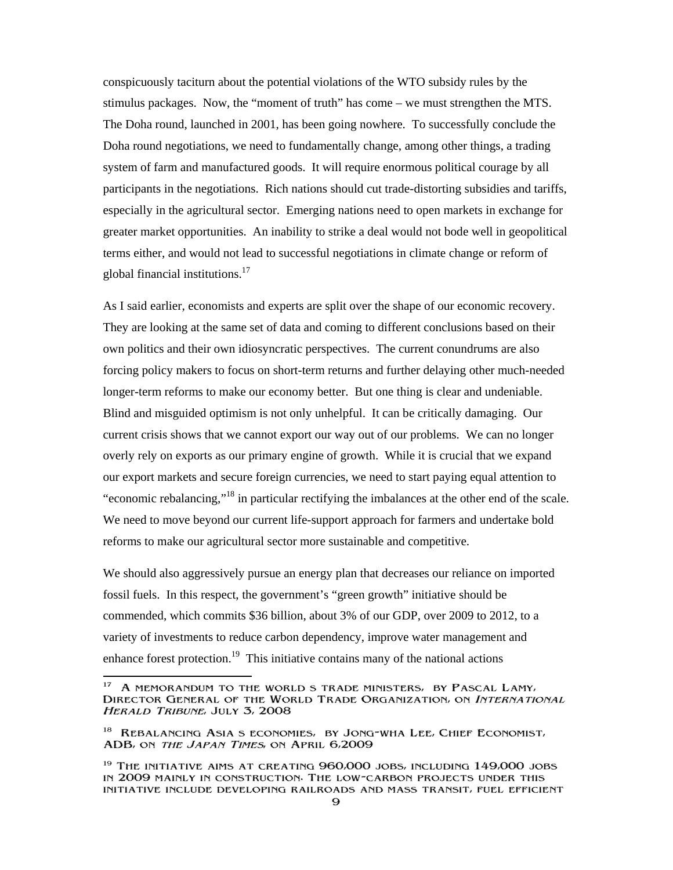conspicuously taciturn about the potential violations of the WTO subsidy rules by the stimulus packages. Now, the "moment of truth" has come – we must strengthen the MTS. The Doha round, launched in 2001, has been going nowhere. To successfully conclude the Doha round negotiations, we need to fundamentally change, among other things, a trading system of farm and manufactured goods. It will require enormous political courage by all participants in the negotiations. Rich nations should cut trade-distorting subsidies and tariffs, especially in the agricultural sector. Emerging nations need to open markets in exchange for greater market opportunities. An inability to strike a deal would not bode well in geopolitical terms either, and would not lead to successful negotiations in climate change or reform of global financial institutions.<sup>17</sup>

As I said earlier, economists and experts are split over the shape of our economic recovery. They are looking at the same set of data and coming to different conclusions based on their own politics and their own idiosyncratic perspectives. The current conundrums are also forcing policy makers to focus on short-term returns and further delaying other much-needed longer-term reforms to make our economy better. But one thing is clear and undeniable. Blind and misguided optimism is not only unhelpful. It can be critically damaging. Our current crisis shows that we cannot export our way out of our problems. We can no longer overly rely on exports as our primary engine of growth. While it is crucial that we expand our export markets and secure foreign currencies, we need to start paying equal attention to "economic rebalancing,"<sup>18</sup> in particular rectifying the imbalances at the other end of the scale. We need to move beyond our current life-support approach for farmers and undertake bold reforms to make our agricultural sector more sustainable and competitive.

We should also aggressively pursue an energy plan that decreases our reliance on imported fossil fuels. In this respect, the government's "green growth" initiative should be commended, which commits \$36 billion, about 3% of our GDP, over 2009 to 2012, to a variety of investments to reduce carbon dependency, improve water management and enhance forest protection.<sup>19</sup> This initiative contains many of the national actions

<sup>17</sup> 17 A memorandum to the worlds trade ministers, by Pascal Lamy, Director General of the World Trade Organization, on International Herald Tribune, July 3, 2008

<sup>&</sup>lt;sup>18</sup> REBALANCING ASIA S ECONOMIES, BY JONG-WHA LEE, CHIEF ECONOMIST, ADB, on the Japan Times, on April 6,2009

 $19$  The initiative aims at creating  $960,000$  jobs, including  $149,000$  jobs in 2009 mainly in construction. The low-carbon projects under this initiative include developing railroads and mass transit, fuel efficient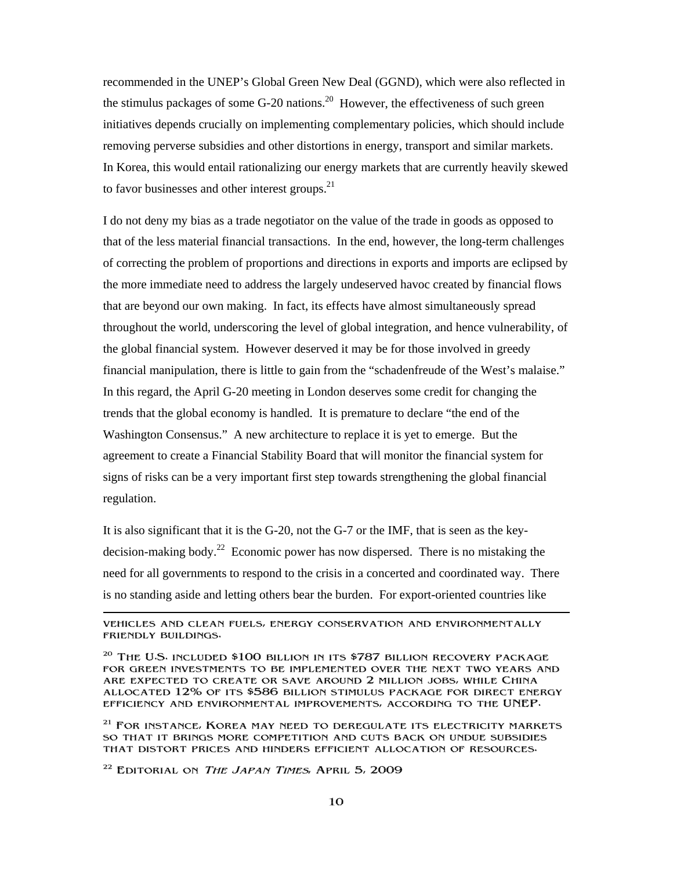recommended in the UNEP's Global Green New Deal (GGND), which were also reflected in the stimulus packages of some  $G-20$  nations.<sup>20</sup> However, the effectiveness of such green initiatives depends crucially on implementing complementary policies, which should include removing perverse subsidies and other distortions in energy, transport and similar markets. In Korea, this would entail rationalizing our energy markets that are currently heavily skewed to favor businesses and other interest groups.<sup>21</sup>

I do not deny my bias as a trade negotiator on the value of the trade in goods as opposed to that of the less material financial transactions. In the end, however, the long-term challenges of correcting the problem of proportions and directions in exports and imports are eclipsed by the more immediate need to address the largely undeserved havoc created by financial flows that are beyond our own making. In fact, its effects have almost simultaneously spread throughout the world, underscoring the level of global integration, and hence vulnerability, of the global financial system. However deserved it may be for those involved in greedy financial manipulation, there is little to gain from the "schadenfreude of the West's malaise." In this regard, the April G-20 meeting in London deserves some credit for changing the trends that the global economy is handled. It is premature to declare "the end of the Washington Consensus." A new architecture to replace it is yet to emerge. But the agreement to create a Financial Stability Board that will monitor the financial system for signs of risks can be a very important first step towards strengthening the global financial regulation.

It is also significant that it is the G-20, not the G-7 or the IMF, that is seen as the keydecision-making body.<sup>22</sup> Economic power has now dispersed. There is no mistaking the need for all governments to respond to the crisis in a concerted and coordinated way. There is no standing aside and letting others bear the burden. For export-oriented countries like

vehicles and clean fuels, energy conservation and environmentally friendly buildings.

 $20$  The U.S. included \$100 billion in its \$787 billion recovery package for green investments to be implemented over the next two years and are expected to create or save around 2 million jobs, while China allocated 12% of its \$586 billion stimulus package for direct energy efficiency and environmental improvements, according to the UNEP.

<sup>21</sup> FOR INSTANCE, KOREA MAY NEED TO DEREGULATE ITS ELECTRICITY MARKETS so that it brings more competition and cuts back on undue subsidies that distort prices and hinders efficient allocation of resources.

 $22$  EDITORIAL ON THE JAPAN TIMES, APRIL 5, 2009

-